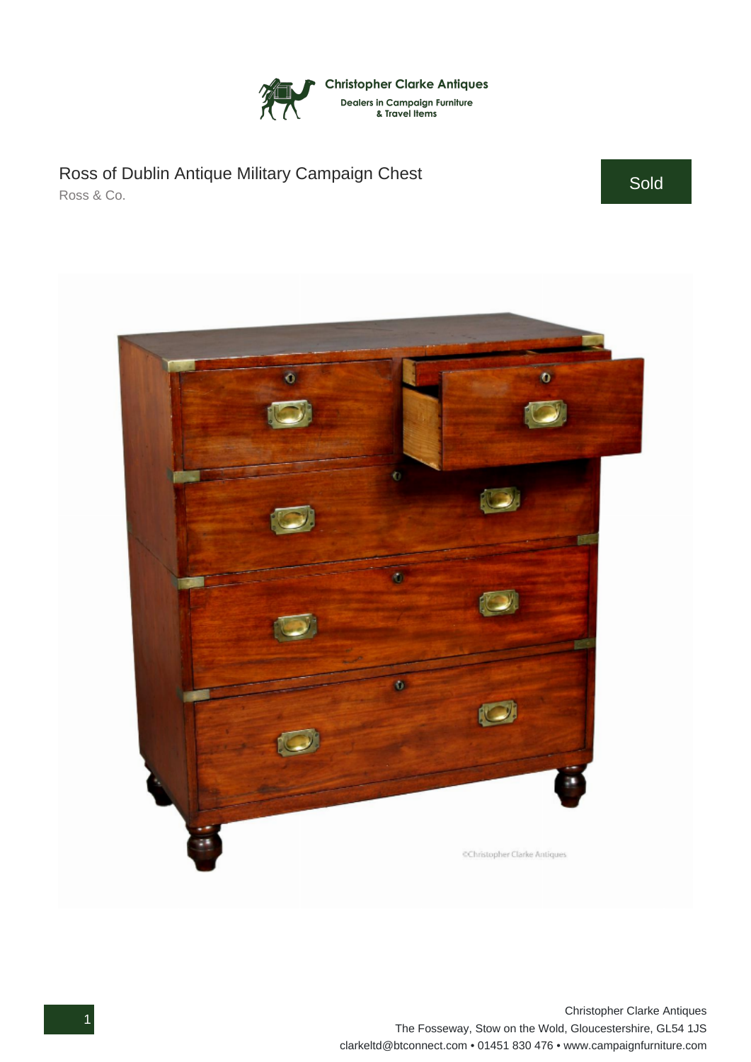

## Ross of Dublin Antique Military Campaign Chest Ross & Co.

Sold